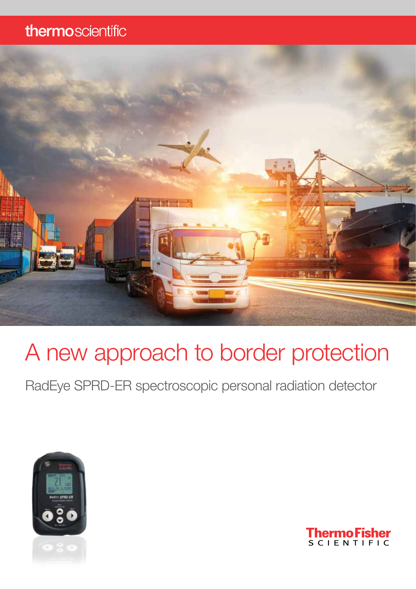### thermoscientific



# A new approach to border protection

RadEye SPRD-ER spectroscopic personal radiation detector



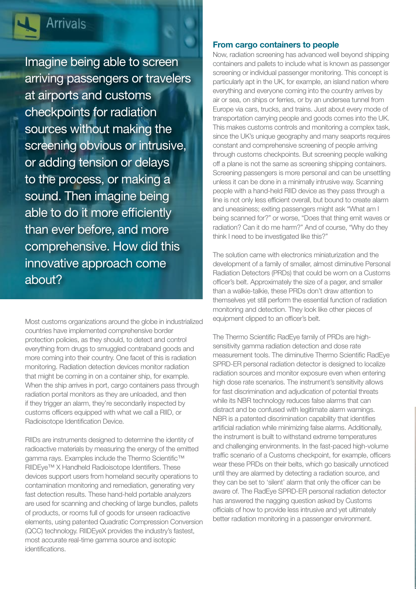

### **Arrivals**

Imagine being able to screen arriving passengers or travelers at airports and customs checkpoints for radiation sources without making the screening obvious or intrusive, or adding tension or delays to the process, or making a sound. Then imagine being able to do it more efficiently than ever before, and more comprehensive. How did this innovative approach come about?

Most customs organizations around the globe in industrialized countries have implemented comprehensive border protection policies, as they should, to detect and control everything from drugs to smuggled contraband goods and more coming into their country. One facet of this is radiation monitoring. Radiation detection devices monitor radiation that might be coming in on a container ship, for example. When the ship arrives in port, cargo containers pass through radiation portal monitors as they are unloaded, and then if they trigger an alarm, they're secondarily inspected by customs officers equipped with what we call a RIID, or Radioisotope Identification Device.

RIIDs are instruments designed to determine the identity of radioactive materials by measuring the energy of the emitted gamma rays. Examples include the Thermo Scientific™ RIIDEye™ X Handheld Radioisotope Identifiers. These devices support users from homeland security operations to contamination monitoring and remediation, generating very fast detection results. These hand-held portable analyzers are used for scanning and checking of large bundles, pallets of products, or rooms full of goods for unseen radioactive elements, using patented Quadratic Compression Conversion (QCC) technology. RIIDEyeX provides the industry's fastest, most accurate real-time gamma source and isotopic identifications.

#### From cargo containers to people

Now, radiation screening has advanced well beyond shipping containers and pallets to include what is known as passenger screening or individual passenger monitoring. This concept is particularly apt in the UK, for example, an island nation where everything and everyone coming into the country arrives by air or sea, on ships or ferries, or by an undersea tunnel from Europe via cars, trucks, and trains. Just about every mode of transportation carrying people and goods comes into the UK. This makes customs controls and monitoring a complex task, since the UK's unique geography and many seaports requires constant and comprehensive screening of people arriving through customs checkpoints. But screening people walking off a plane is not the same as screening shipping containers. Screening passengers is more personal and can be unsettling unless it can be done in a minimally intrusive way. Scanning people with a hand-held RIID device as they pass through a line is not only less efficient overall, but bound to create alarm and uneasiness; exiting passengers might ask "What am I being scanned for?" or worse, "Does that thing emit waves or radiation? Can it do me harm?" And of course, "Why do they think I need to be investigated like this?"

The solution came with electronics miniaturization and the development of a family of smaller, almost diminutive Personal Radiation Detectors (PRDs) that could be worn on a Customs officer's belt. Approximately the size of a pager, and smaller than a walkie-talkie, these PRDs don't draw attention to themselves yet still perform the essential function of radiation monitoring and detection. They look like other pieces of equipment clipped to an officer's belt.

The Thermo Scientific RadEye family of PRDs are highsensitivity gamma radiation detection and dose rate measurement tools. The diminutive Thermo Scientific RadEye SPRD-ER personal radiation detector is designed to localize radiation sources and monitor exposure even when entering high dose rate scenarios. The instrument's sensitivity allows for fast discrimination and adjudication of potential threats while its NBR technology reduces false alarms that can distract and be confused with legitimate alarm warnings. NBR is a patented discrimination capability that identifies artificial radiation while minimizing false alarms. Additionally, the instrument is built to withstand extreme temperatures and challenging environments. In the fast-paced high-volume traffic scenario of a Customs checkpoint, for example, officers wear these PRDs on their belts, which go basically unnoticed until they are alarmed by detecting a radiation source, and they can be set to 'silent' alarm that only the officer can be aware of. The RadEye SPRD-ER personal radiation detector has answered the nagging question asked by Customs officials of how to provide less intrusive and yet ultimately better radiation monitoring in a passenger environment.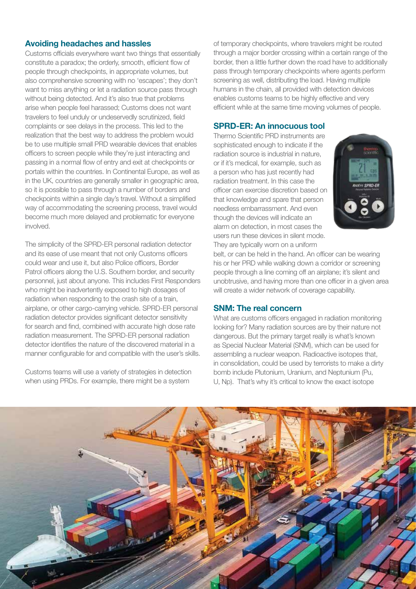#### Avoiding headaches and hassles

Customs officials everywhere want two things that essentially constitute a paradox; the orderly, smooth, efficient flow of people through checkpoints, in appropriate volumes, but also comprehensive screening with no 'escapes'; they don't want to miss anything or let a radiation source pass through without being detected. And it's also true that problems arise when people feel harassed; Customs does not want travelers to feel unduly or undeservedly scrutinized, field complaints or see delays in the process. This led to the realization that the best way to address the problem would be to use multiple small PRD wearable devices that enables officers to screen people while they're just interacting and passing in a normal flow of entry and exit at checkpoints or portals within the countries. In Continental Europe, as well as in the UK, countries are generally smaller in geographic area, so it is possible to pass through a number of borders and checkpoints within a single day's travel. Without a simplified way of accommodating the screening process, travel would become much more delayed and problematic for everyone involved.

The simplicity of the SPRD-ER personal radiation detector and its ease of use meant that not only Customs officers could wear and use it, but also Police officers, Border Patrol officers along the U.S. Southern border, and security personnel, just about anyone. This includes First Responders who might be inadvertently exposed to high dosages of radiation when responding to the crash site of a train, airplane, or other cargo-carrying vehicle. SPRD-ER personal radiation detector provides significant detector sensitivity for search and find, combined with accurate high dose rate radiation measurement. The SPRD-ER personal radiation detector identifies the nature of the discovered material in a manner configurable for and compatible with the user's skills.

Customs teams will use a variety of strategies in detection when using PRDs. For example, there might be a system

of temporary checkpoints, where travelers might be routed through a major border crossing within a certain range of the border, then a little further down the road have to additionally pass through temporary checkpoints where agents perform screening as well, distributing the load. Having multiple humans in the chain, all provided with detection devices enables customs teams to be highly effective and very efficient while at the same time moving volumes of people.

#### SPRD-ER: An innocuous tool

Thermo Scientific PRD instruments are sophisticated enough to indicate if the radiation source is industrial in nature, or if it's medical, for example, such as a person who has just recently had radiation treatment. In this case the officer can exercise discretion based on that knowledge and spare that person needless embarrassment. And even though the devices will indicate an alarm on detection, in most cases the users run these devices in silent mode. They are typically worn on a uniform



belt, or can be held in the hand. An officer can be wearing his or her PRD while walking down a corridor or screening people through a line coming off an airplane; it's silent and unobtrusive, and having more than one officer in a given area will create a wider network of coverage capability.

#### SNM: The real concern

What are customs officers engaged in radiation monitoring looking for? Many radiation sources are by their nature not dangerous. But the primary target really is what's known as Special Nuclear Material (SNM), which can be used for assembling a nuclear weapon. Radioactive isotopes that, in consolidation, could be used by terrorists to make a dirty bomb include Plutonium, Uranium, and Neptunium (Pu, U, Np). That's why it's critical to know the exact isotope